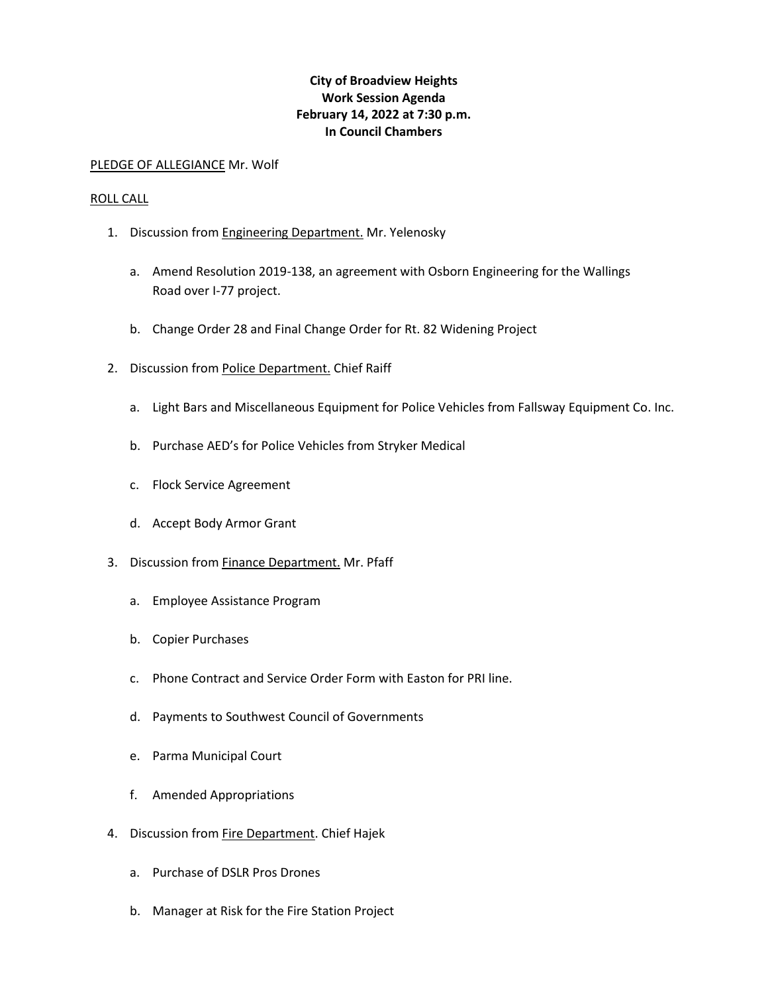## **City of Broadview Heights Work Session Agenda February 14, 2022 at 7:30 p.m. In Council Chambers**

## PLEDGE OF ALLEGIANCE Mr. Wolf

## ROLL CALL

- 1. Discussion from **Engineering Department**. Mr. Yelenosky
	- a. Amend Resolution 2019-138, an agreement with Osborn Engineering for the Wallings Road over I-77 project.
	- b. Change Order 28 and Final Change Order for Rt. 82 Widening Project
- 2. Discussion from Police Department. Chief Raiff
	- a. Light Bars and Miscellaneous Equipment for Police Vehicles from Fallsway Equipment Co. Inc.
	- b. Purchase AED's for Police Vehicles from Stryker Medical
	- c. Flock Service Agreement
	- d. Accept Body Armor Grant
- 3. Discussion from **Finance Department**. Mr. Pfaff
	- a. Employee Assistance Program
	- b. Copier Purchases
	- c. Phone Contract and Service Order Form with Easton for PRI line.
	- d. Payments to Southwest Council of Governments
	- e. Parma Municipal Court
	- f. Amended Appropriations
- 4. Discussion from Fire Department. Chief Hajek
	- a. Purchase of DSLR Pros Drones
	- b. Manager at Risk for the Fire Station Project